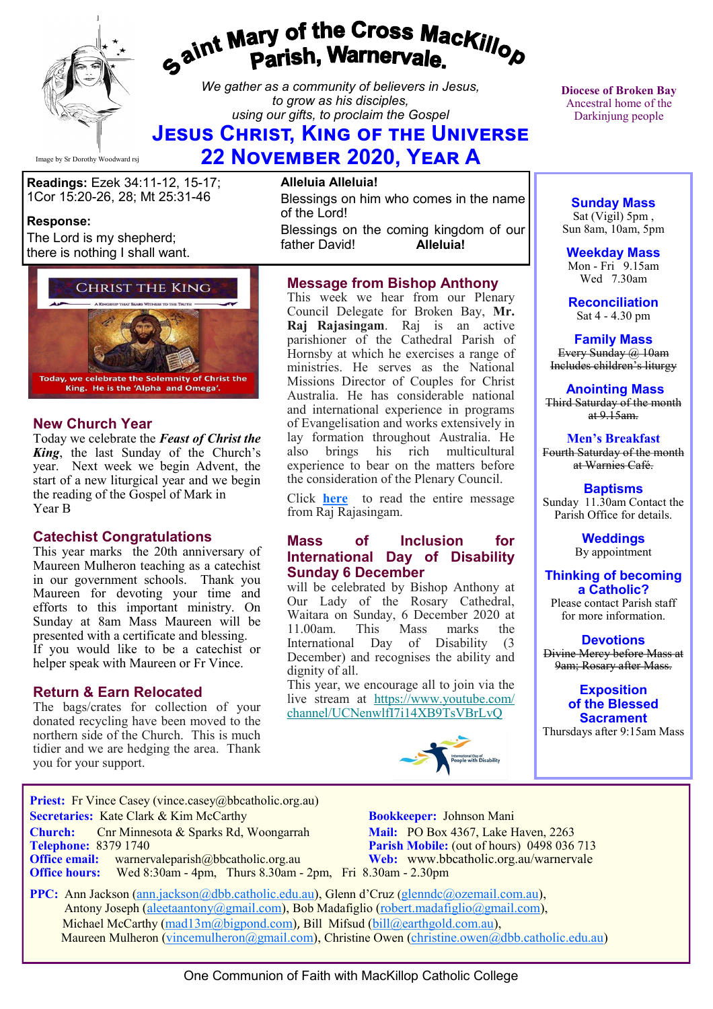

# gaint Mary of the Cross MacKillop<br>ga<sup>int</sup> Parish, Warnervale.

*We gather as a community of believers in Jesus, to grow as his disciples, using our gifts, to proclaim the Gospel*

# **Jesus Christ, King of the Universe**

**22 November 2020, Year A**

**Readings:** Ezek 34:11-12, 15-17; 1Cor 15:20-26, 28; Mt 25:31-46

# **Response:**

The Lord is my shepherd; there is nothing I shall want.



# **New Church Year**

Today we celebrate the *Feast of Christ the King*, the last Sunday of the Church's year. Next week we begin Advent, the start of a new liturgical year and we begin the reading of the Gospel of Mark in Year B

## **Catechist Congratulations**

This year marks the 20th anniversary of Maureen Mulheron teaching as a catechist in our government schools. Thank you Maureen for devoting your time and efforts to this important ministry. On Sunday at 8am Mass Maureen will be presented with a certificate and blessing. If you would like to be a catechist or helper speak with Maureen or Fr Vince.

# **Return & Earn Relocated**

The bags/crates for collection of your donated recycling have been moved to the northern side of the Church. This is much tidier and we are hedging the area. Thank you for your support.

# **Alleluia Alleluia!**

Blessings on him who comes in the name of the Lord! Blessings on the coming kingdom of our father David! father David!

# **Message from Bishop Anthony**

This week we hear from our Plenary Council Delegate for Broken Bay, **Mr. Raj Rajasingam**. Raj is an active parishioner of the Cathedral Parish of Hornsby at which he exercises a range of ministries. He serves as the National Missions Director of Couples for Christ Australia. He has considerable national and international experience in programs of Evangelisation and works extensively in lay formation throughout Australia. He brings his rich multicultural experience to bear on the matters before the consideration of the Plenary Council.

Click **[here](https://bbcatholic.us8.list-manage.com/track/click?u=466af249e088db70ab864d088&id=27aa0e1570&e=e312df0f80)** to read the entire message from Raj Rajasingam.

### **Mass of Inclusion for International Day of Disability Sunday 6 December**

will be celebrated by Bishop Anthony at Our Lady of the Rosary Cathedral, Waitara on Sunday, 6 December 2020 at 11.00am. This Mass marks the International Day of Disability (3 December) and recognises the ability and dignity of all.

This year, we encourage all to join via the live stream at [https://www.youtube.com/](https://bbcatholic.us8.list-manage.com/track/click?u=466af249e088db70ab864d088&id=829d0e0cbe&e=e312df0f80) [channel/UCNenwlfI7i14XB9TsVBrLvQ](https://bbcatholic.us8.list-manage.com/track/click?u=466af249e088db70ab864d088&id=829d0e0cbe&e=e312df0f80)



**Diocese of Broken Bay**  Ancestral home of the Darkinjung people

**Sunday Mass** Sat (Vigil) 5pm , Sun 8am, 10am, 5pm

**Weekday Mass** Mon - Fri 9.15am Wed 7.30am

**Reconciliation** Sat 4 - 4.30 pm

**Family Mass**  Every Sunday @ 10am Includes children's liturgy

**Anointing Mass** Third Saturday of the month at  $9.15$ am.

**Men's Breakfast** Fourth Saturday of the month at Warnies Café.

**Baptisms** Sunday 11.30am Contact the Parish Office for details.

> **Weddings**  By appointment

### **Thinking of becoming a Catholic?** Please contact Parish staff

for more information.

**Devotions** Divine Mercy before Mass at 9am; Rosary after Mass.

> **Exposition of the Blessed Sacrament**

Thursdays after 9:15am Mass

**Priest:** Fr Vince Casey (vince.casey@bbcatholic.org.au) **Secretaries:** Kate Clark & Kim McCarthy **Bookkeeper:** Johnson Mani  **Church:** Cnr Minnesota & Sparks Rd, Woongarrah **Mail:** PO Box 4367, Lake Haven, 2263

**Office email:** warnervaleparish@bbcatholic.org.au **Web:** [www.bbcatholic.org.au/warnervale](https://www.bbcatholic.org.au/warnervale) **Office hours:** Wed 8:30am - 4pm, Thurs 8.30am - 2pm, Fri 8.30am - 2.30pm

**Telephone: 8379 1740 Parish Mobile:** (out of hours) 0498 036 713

 **PPC:** Ann Jackson ([ann.jackson@dbb.catholic.edu.au\),](mailto:ann.jackson@dbb.catholic.edu.au) Glenn d'Cruz ([glenndc@ozemail.com.au\)](mailto:glenndc@ozemail.com.au), Antony Joseph ([aleetaantony@gmail.com\),](mailto:aleetaantony@gmail.com) Bob Madafiglio [\(robert.madafiglio@gmail.com\),](mailto:robert.madafiglio@gmail.com) Michael McCarthy ([mad13m@bigpond.com\)](mailto:mad13m@bigpond.com), Bill Mifsud ([bill@earthgold.com.au\),](mailto:bill@earthgold.com.au) Maureen Mulheron ([vincemulheron@gmail.com\)](mailto:vincemulheron@gmail.com), Christine Owen (christine.owen[@dbb.catholic.edu.au\)](mailto:ann.jackson@dbb.catholic.edu.au)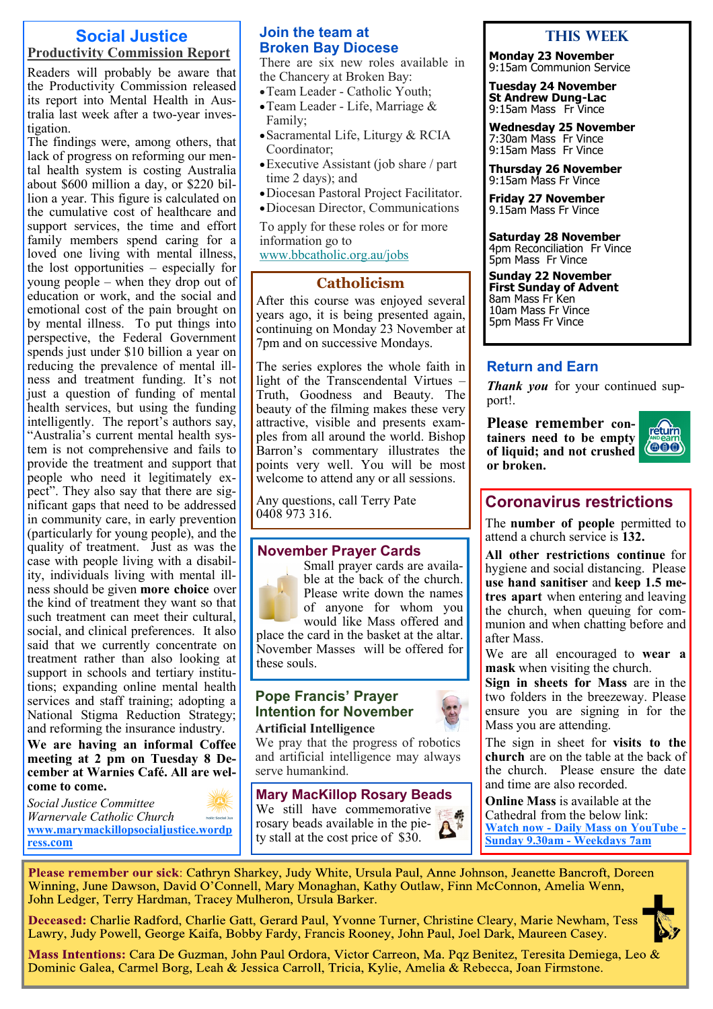# **Social Justice Productivity Commission Report**

Readers will probably be aware that the Productivity Commission released its report into Mental Health in Australia last week after a two-year investigation.

The findings were, among others, that lack of progress on reforming our mental health system is costing Australia about \$600 million a day, or \$220 billion a year. This figure is calculated on the cumulative cost of healthcare and support services, the time and effort family members spend caring for a loved one living with mental illness, the lost opportunities – especially for young people – when they drop out of education or work, and the social and emotional cost of the pain brought on by mental illness. To put things into perspective, the Federal Government spends just under \$10 billion a year on reducing the prevalence of mental illness and treatment funding. It's not just a question of funding of mental health services, but using the funding intelligently. The report's authors say, "Australia's current mental health system is not comprehensive and fails to provide the treatment and support that people who need it legitimately expect". They also say that there are significant gaps that need to be addressed in community care, in early prevention (particularly for young people), and the quality of treatment. Just as was the case with people living with a disability, individuals living with mental illness should be given **more choice** over the kind of treatment they want so that such treatment can meet their cultural, social, and clinical preferences. It also said that we currently concentrate on treatment rather than also looking at support in schools and tertiary institutions; expanding online mental health services and staff training; adopting a National Stigma Reduction Strategy; and reforming the insurance industry.

**We are having an informal Coffee meeting at 2 pm on Tuesday 8 December at Warnies Café. All are welcome to come.**

*Social Justice Committee Warnervale Catholic Church*  **[www.marymackillopsocialjustice.wordp](http://www.marymackillopsocialjustice.wordpress.com) ress[.com](http://www.marymackillopsocialjustice.wordpress.com)**

# **Join the team at Broken Bay Diocese**

There are six new roles available in the Chancery at Broken Bay:

- •Team Leader Catholic Youth;
- •Team Leader Life, Marriage & Family;
- •Sacramental Life, Liturgy & RCIA Coordinator;
- •Executive Assistant (job share / part time 2 days); and
- •Diocesan Pastoral Project Facilitator.
- •Diocesan Director, Communications

To apply for these roles or for more information go to

[www.bbcatholic.org.au/jobs](https://bbcatholic.us8.list-manage.com/track/click?u=466af249e088db70ab864d088&id=9ad198b2f9&e=e312df0f80)

# **Catholicism**

After this course was enjoyed several years ago, it is being presented again, continuing on Monday 23 November at 7pm and on successive Mondays.

The series explores the whole faith in light of the Transcendental Virtues – Truth, Goodness and Beauty. The beauty of the filming makes these very attractive, visible and presents examples from all around the world. Bishop Barron's commentary illustrates the points very well. You will be most welcome to attend any or all sessions.

Any questions, call Terry Pate 0408 973 316.

# **November Prayer Cards**

Small prayer cards are available at the back of the church. Please write down the names of anyone for whom you

would like Mass offered and place the card in the basket at the altar. November Masses will be offered for these souls.

### **Pope Francis' Prayer Intention for November Artificial Intelligence**

We pray that the progress of robotics and artificial intelligence may always serve humankind.

**Mary MacKillop Rosary Beads**  We still have commemorative rosary beads available in the piety stall at the cost price of \$30.

# **This Week**

**Monday 23 November** 9:15am Communion Service

**Tuesday 24 November St Andrew Dung-Lac** 9:15am Mass Fr Vince

**Wednesday 25 November** 7:30am Mass Fr Vince 9:15am Mass Fr Vince

**Thursday 26 November** 9:15am Mass Fr Vince

**Friday 27 November** 9.15am Mass Fr Vince

**Saturday 28 November** 4pm Reconciliation Fr Vince 5pm Mass Fr Vince

**Sunday 22 November First Sunday of Advent** 8am Mass Fr Ken 10am Mass Fr Vince 5pm Mass Fr Vince

# **Return and Earn**

*Thank you* for your continued support!.

**Please remember containers need to be empty of liquid; and not crushed or broken.**



# **Coronavirus restrictions**

The **number of people** permitted to attend a church service is **132.** 

**All other restrictions continue** for hygiene and social distancing. Please **use hand sanitiser** and **keep 1.5 metres apart** when entering and leaving the church, when queuing for communion and when chatting before and after Mass.

We are all encouraged to **wear a mask** when visiting the church.

**Sign in sheets for Mass** are in the two folders in the breezeway. Please ensure you are signing in for the Mass you are attending.

The sign in sheet for **visits to the church** are on the table at the back of the church. Please ensure the date and time are also recorded.

**Online Mass** is available at the Cathedral from the below link: **Watch now - [Daily Mass on YouTube](https://www.youtube.com/channel/UCNenwlfI7i14XB9TsVBrLvQ/) - [Sunday 9.30am](https://www.youtube.com/channel/UCNenwlfI7i14XB9TsVBrLvQ/) - Weekdays 7am**

Please remember our sick: Cathryn Sharkey, Judy White, Ursula Paul, Anne Johnson, Jeanette Bancroft, Doreen Winning, June Dawson, David O'Connell, Mary Monaghan, Kathy Outlaw, Finn McConnon, Amelia Wenn, John Ledger, Terry Hardman, Tracey Mulheron, Ursula Barker.

Deceased: Charlie Radford, Charlie Gatt, Gerard Paul, Yvonne Turner, Christine Cleary, Marie Newham, Tess Lawry, Judy Powell, George Kaifa, Bobby Fardy, Francis Rooney, John Paul, Joel Dark, Maureen Casey.



Mass Intentions: Cara De Guzman, John Paul Ordora, Victor Carreon, Ma. Pqz Benitez, Teresita Demiega, Leo & Dominic Galea, Carmel Borg, Leah & Jessica Carroll, Tricia, Kylie, Amelia & Rebecca, Joan Firmstone.



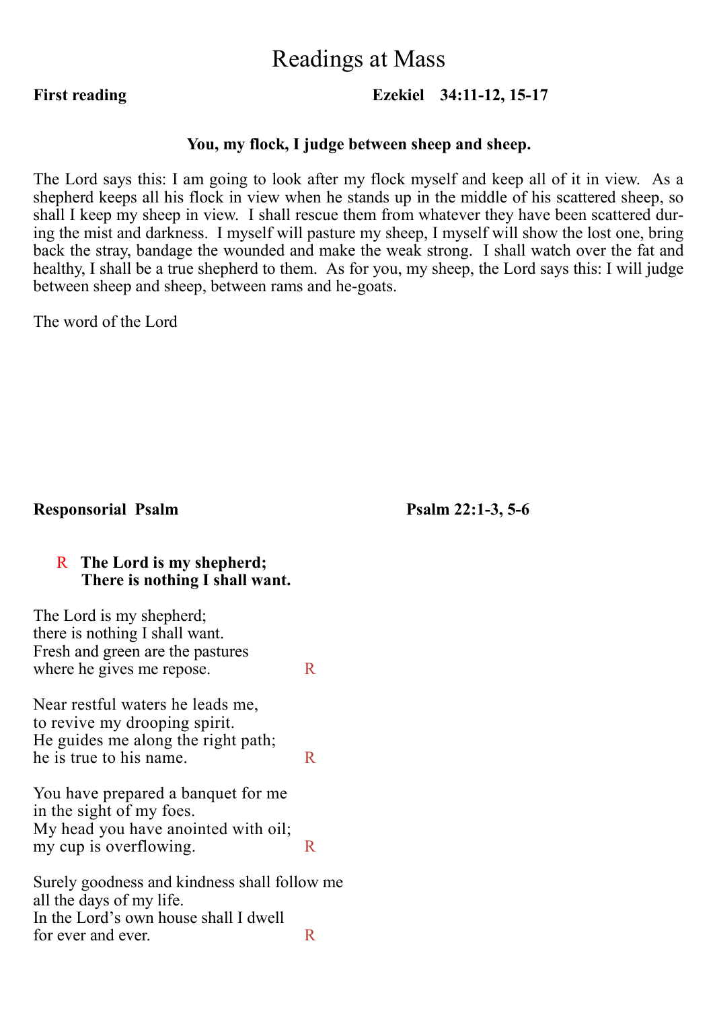# Readings at Mass

# **First reading Ezekiel 34:11-12, 15-17**

# **You, my flock, I judge between sheep and sheep.**

The Lord says this: I am going to look after my flock myself and keep all of it in view. As a shepherd keeps all his flock in view when he stands up in the middle of his scattered sheep, so shall I keep my sheep in view. I shall rescue them from whatever they have been scattered during the mist and darkness. I myself will pasture my sheep, I myself will show the lost one, bring back the stray, bandage the wounded and make the weak strong. I shall watch over the fat and healthy, I shall be a true shepherd to them. As for you, my sheep, the Lord says this: I will judge between sheep and sheep, between rams and he-goats.

The word of the Lord

# **Responsorial Psalm Psalm 22:1-3, 5-6**

# R **The Lord is my shepherd; There is nothing I shall want.**

| The Lord is my shepherd;<br>there is nothing I shall want.               |    |
|--------------------------------------------------------------------------|----|
| Fresh and green are the pastures                                         |    |
| where he gives me repose.                                                | R. |
| Near restful waters he leads me,<br>to revive my drooping spirit.        |    |
| He guides me along the right path;                                       |    |
| he is true to his name.                                                  | R. |
| You have prepared a banquet for me<br>in the sight of my foes.           |    |
| My head you have anointed with oil;                                      |    |
| my cup is overflowing.                                                   | R  |
| Surely goodness and kindness shall follow me<br>all the days of my life. |    |
| In the Lord's own house shall I dwell                                    |    |
| for ever and ever.                                                       |    |